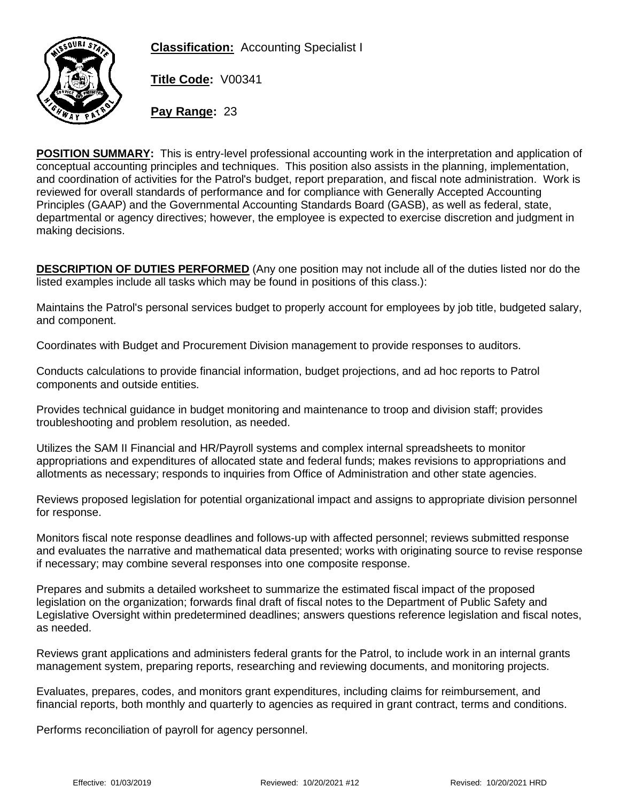**Classification:** Accounting Specialist I



**Title Code:** V00341

**Pay Range:** 23

**POSITION SUMMARY:** This is entry-level professional accounting work in the interpretation and application of conceptual accounting principles and techniques. This position also assists in the planning, implementation, and coordination of activities for the Patrol's budget, report preparation, and fiscal note administration. Work is reviewed for overall standards of performance and for compliance with Generally Accepted Accounting Principles (GAAP) and the Governmental Accounting Standards Board (GASB), as well as federal, state, departmental or agency directives; however, the employee is expected to exercise discretion and judgment in making decisions.

**DESCRIPTION OF DUTIES PERFORMED** (Any one position may not include all of the duties listed nor do the listed examples include all tasks which may be found in positions of this class.):

Maintains the Patrol's personal services budget to properly account for employees by job title, budgeted salary, and component.

Coordinates with Budget and Procurement Division management to provide responses to auditors.

Conducts calculations to provide financial information, budget projections, and ad hoc reports to Patrol components and outside entities.

Provides technical guidance in budget monitoring and maintenance to troop and division staff; provides troubleshooting and problem resolution, as needed.

Utilizes the SAM II Financial and HR/Payroll systems and complex internal spreadsheets to monitor appropriations and expenditures of allocated state and federal funds; makes revisions to appropriations and allotments as necessary; responds to inquiries from Office of Administration and other state agencies.

Reviews proposed legislation for potential organizational impact and assigns to appropriate division personnel for response.

Monitors fiscal note response deadlines and follows-up with affected personnel; reviews submitted response and evaluates the narrative and mathematical data presented; works with originating source to revise response if necessary; may combine several responses into one composite response.

Prepares and submits a detailed worksheet to summarize the estimated fiscal impact of the proposed legislation on the organization; forwards final draft of fiscal notes to the Department of Public Safety and Legislative Oversight within predetermined deadlines; answers questions reference legislation and fiscal notes, as needed.

Reviews grant applications and administers federal grants for the Patrol, to include work in an internal grants management system, preparing reports, researching and reviewing documents, and monitoring projects.

Evaluates, prepares, codes, and monitors grant expenditures, including claims for reimbursement, and financial reports, both monthly and quarterly to agencies as required in grant contract, terms and conditions.

Performs reconciliation of payroll for agency personnel.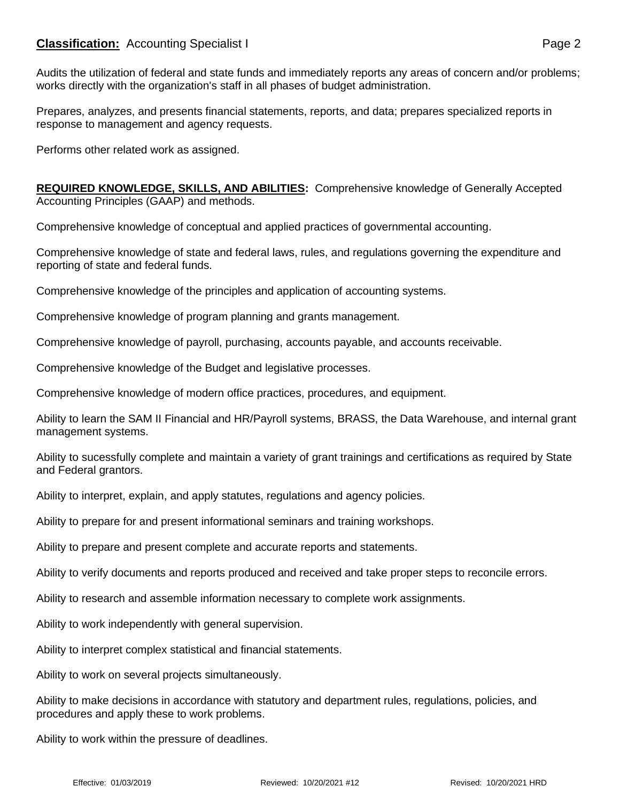## **Classification:** Accounting Specialist I **Page 2** Page 2

Audits the utilization of federal and state funds and immediately reports any areas of concern and/or problems; works directly with the organization's staff in all phases of budget administration.

Prepares, analyzes, and presents financial statements, reports, and data; prepares specialized reports in response to management and agency requests.

Performs other related work as assigned.

**REQUIRED KNOWLEDGE, SKILLS, AND ABILITIES:** Comprehensive knowledge of Generally Accepted Accounting Principles (GAAP) and methods.

Comprehensive knowledge of conceptual and applied practices of governmental accounting.

Comprehensive knowledge of state and federal laws, rules, and regulations governing the expenditure and reporting of state and federal funds.

Comprehensive knowledge of the principles and application of accounting systems.

Comprehensive knowledge of program planning and grants management.

Comprehensive knowledge of payroll, purchasing, accounts payable, and accounts receivable.

Comprehensive knowledge of the Budget and legislative processes.

Comprehensive knowledge of modern office practices, procedures, and equipment.

Ability to learn the SAM II Financial and HR/Payroll systems, BRASS, the Data Warehouse, and internal grant management systems.

Ability to sucessfully complete and maintain a variety of grant trainings and certifications as required by State and Federal grantors.

Ability to interpret, explain, and apply statutes, regulations and agency policies.

Ability to prepare for and present informational seminars and training workshops.

Ability to prepare and present complete and accurate reports and statements.

Ability to verify documents and reports produced and received and take proper steps to reconcile errors.

Ability to research and assemble information necessary to complete work assignments.

Ability to work independently with general supervision.

Ability to interpret complex statistical and financial statements.

Ability to work on several projects simultaneously.

Ability to make decisions in accordance with statutory and department rules, regulations, policies, and procedures and apply these to work problems.

Ability to work within the pressure of deadlines.